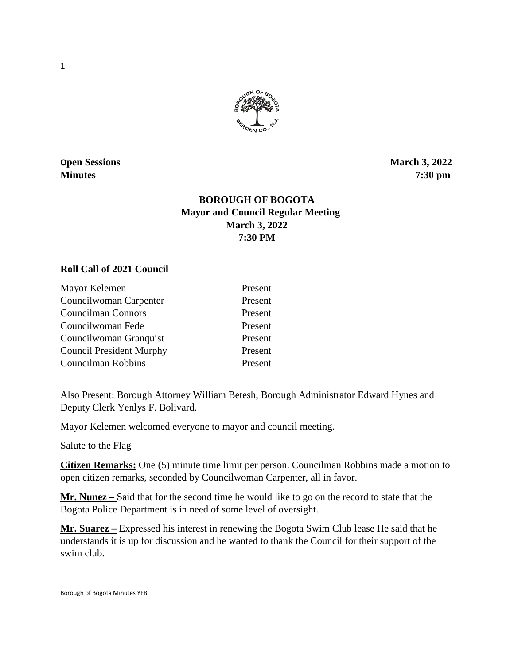

**Open Sessions** March 3, 2022 **Minutes 7:30 pm** 

# **BOROUGH OF BOGOTA Mayor and Council Regular Meeting March 3, 2022 7:30 PM**

#### **Roll Call of 2021 Council**

| Mayor Kelemen                   | Present |
|---------------------------------|---------|
| Councilwoman Carpenter          | Present |
| <b>Councilman Connors</b>       | Present |
| Councilwoman Fede               | Present |
| Councilwoman Granquist          | Present |
| <b>Council President Murphy</b> | Present |
| Councilman Robbins              | Present |

Also Present: Borough Attorney William Betesh, Borough Administrator Edward Hynes and Deputy Clerk Yenlys F. Bolivard.

Mayor Kelemen welcomed everyone to mayor and council meeting.

Salute to the Flag

**Citizen Remarks:** One (5) minute time limit per person. Councilman Robbins made a motion to open citizen remarks, seconded by Councilwoman Carpenter, all in favor.

**Mr. Nunez –** Said that for the second time he would like to go on the record to state that the Bogota Police Department is in need of some level of oversight.

**Mr. Suarez –** Expressed his interest in renewing the Bogota Swim Club lease He said that he understands it is up for discussion and he wanted to thank the Council for their support of the swim club.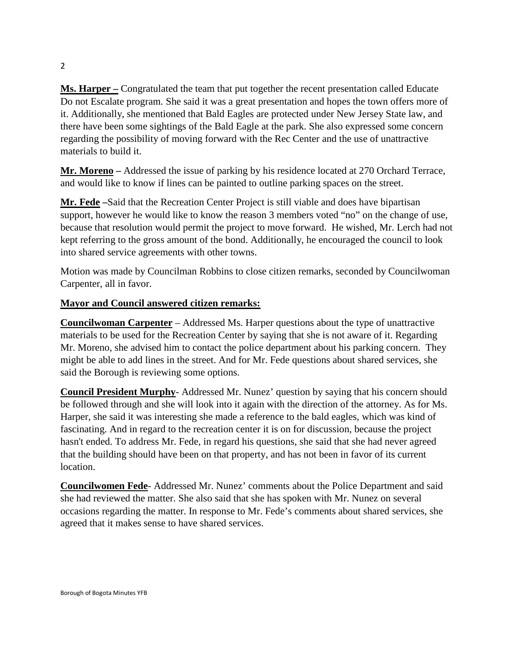**Ms. Harper –** Congratulated the team that put together the recent presentation called Educate Do not Escalate program. She said it was a great presentation and hopes the town offers more of it. Additionally, she mentioned that Bald Eagles are protected under New Jersey State law, and there have been some sightings of the Bald Eagle at the park. She also expressed some concern regarding the possibility of moving forward with the Rec Center and the use of unattractive materials to build it.

**Mr. Moreno –** Addressed the issue of parking by his residence located at 270 Orchard Terrace, and would like to know if lines can be painted to outline parking spaces on the street.

**Mr. Fede –**Said that the Recreation Center Project is still viable and does have bipartisan support, however he would like to know the reason 3 members voted "no" on the change of use, because that resolution would permit the project to move forward. He wished, Mr. Lerch had not kept referring to the gross amount of the bond. Additionally, he encouraged the council to look into shared service agreements with other towns.

Motion was made by Councilman Robbins to close citizen remarks, seconded by Councilwoman Carpenter, all in favor.

## **Mayor and Council answered citizen remarks:**

**Councilwoman Carpenter** – Addressed Ms. Harper questions about the type of unattractive materials to be used for the Recreation Center by saying that she is not aware of it. Regarding Mr. Moreno, she advised him to contact the police department about his parking concern. They might be able to add lines in the street. And for Mr. Fede questions about shared services, she said the Borough is reviewing some options.

**Council President Murphy**- Addressed Mr. Nunez' question by saying that his concern should be followed through and she will look into it again with the direction of the attorney. As for Ms. Harper, she said it was interesting she made a reference to the bald eagles, which was kind of fascinating. And in regard to the recreation center it is on for discussion, because the project hasn't ended. To address Mr. Fede, in regard his questions, she said that she had never agreed that the building should have been on that property, and has not been in favor of its current location.

**Councilwomen Fede**- Addressed Mr. Nunez' comments about the Police Department and said she had reviewed the matter. She also said that she has spoken with Mr. Nunez on several occasions regarding the matter. In response to Mr. Fede's comments about shared services, she agreed that it makes sense to have shared services.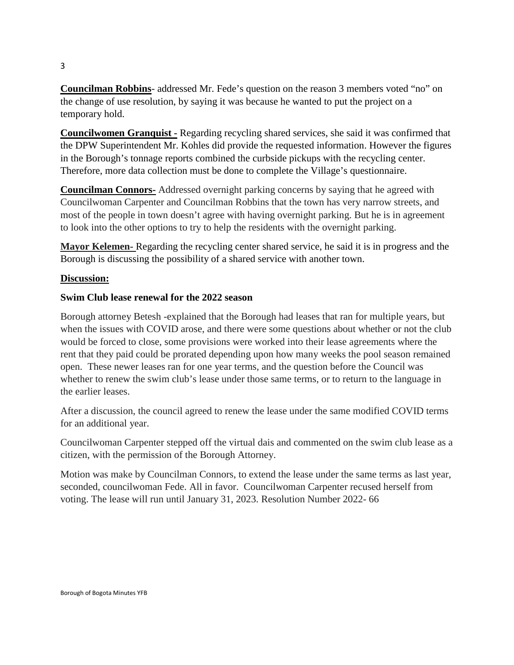**Councilman Robbins**- addressed Mr. Fede's question on the reason 3 members voted "no" on the change of use resolution, by saying it was because he wanted to put the project on a temporary hold.

**Councilwomen Granquist -** Regarding recycling shared services, she said it was confirmed that the DPW Superintendent Mr. Kohles did provide the requested information. However the figures in the Borough's tonnage reports combined the curbside pickups with the recycling center. Therefore, more data collection must be done to complete the Village's questionnaire.

**Councilman Connors-** Addressed overnight parking concerns by saying that he agreed with Councilwoman Carpenter and Councilman Robbins that the town has very narrow streets, and most of the people in town doesn't agree with having overnight parking. But he is in agreement to look into the other options to try to help the residents with the overnight parking.

**Mayor Kelemen-** Regarding the recycling center shared service, he said it is in progress and the Borough is discussing the possibility of a shared service with another town.

#### **Discussion:**

## **Swim Club lease renewal for the 2022 season**

Borough attorney Betesh -explained that the Borough had leases that ran for multiple years, but when the issues with COVID arose, and there were some questions about whether or not the club would be forced to close, some provisions were worked into their lease agreements where the rent that they paid could be prorated depending upon how many weeks the pool season remained open. These newer leases ran for one year terms, and the question before the Council was whether to renew the swim club's lease under those same terms, or to return to the language in the earlier leases.

After a discussion, the council agreed to renew the lease under the same modified COVID terms for an additional year.

Councilwoman Carpenter stepped off the virtual dais and commented on the swim club lease as a citizen, with the permission of the Borough Attorney.

Motion was make by Councilman Connors, to extend the lease under the same terms as last year, seconded, councilwoman Fede. All in favor. Councilwoman Carpenter recused herself from voting. The lease will run until January 31, 2023. Resolution Number 2022- 66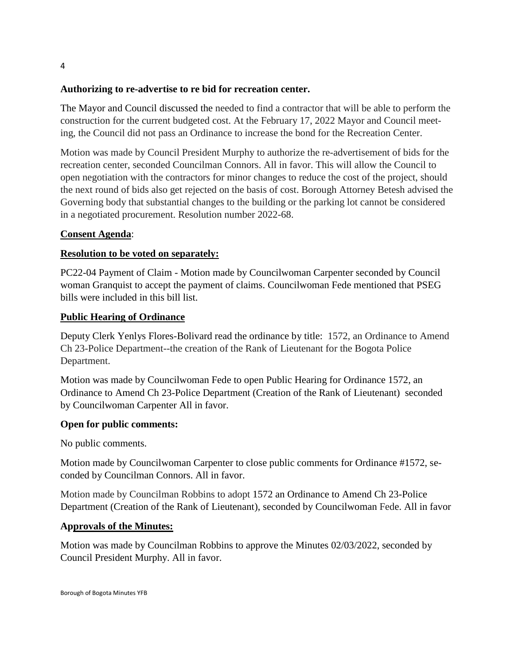## **Authorizing to re-advertise to re bid for recreation center.**

The Mayor and Council discussed the needed to find a contractor that will be able to perform the construction for the current budgeted cost. At the February 17, 2022 Mayor and Council meeting, the Council did not pass an Ordinance to increase the bond for the Recreation Center.

Motion was made by Council President Murphy to authorize the re-advertisement of bids for the recreation center, seconded Councilman Connors. All in favor. This will allow the Council to open negotiation with the contractors for minor changes to reduce the cost of the project, should the next round of bids also get rejected on the basis of cost. Borough Attorney Betesh advised the Governing body that substantial changes to the building or the parking lot cannot be considered in a negotiated procurement. Resolution number 2022-68.

## **Consent Agenda**:

## **Resolution to be voted on separately:**

PC22-04 Payment of Claim - Motion made by Councilwoman Carpenter seconded by Council woman Granquist to accept the payment of claims. Councilwoman Fede mentioned that PSEG bills were included in this bill list.

## **Public Hearing of Ordinance**

Deputy Clerk Yenlys Flores-Bolivard read the ordinance by title: 1572, an Ordinance to Amend Ch 23-Police Department--the creation of the Rank of Lieutenant for the Bogota Police Department.

Motion was made by Councilwoman Fede to open Public Hearing for Ordinance 1572, an Ordinance to Amend Ch 23-Police Department (Creation of the Rank of Lieutenant) seconded by Councilwoman Carpenter All in favor.

#### **Open for public comments:**

No public comments.

Motion made by Councilwoman Carpenter to close public comments for Ordinance #1572, seconded by Councilman Connors. All in favor.

Motion made by Councilman Robbins to adopt 1572 an Ordinance to Amend Ch 23-Police Department (Creation of the Rank of Lieutenant), seconded by Councilwoman Fede. All in favor

#### **Approvals of the Minutes:**

Motion was made by Councilman Robbins to approve the Minutes 02/03/2022, seconded by Council President Murphy. All in favor.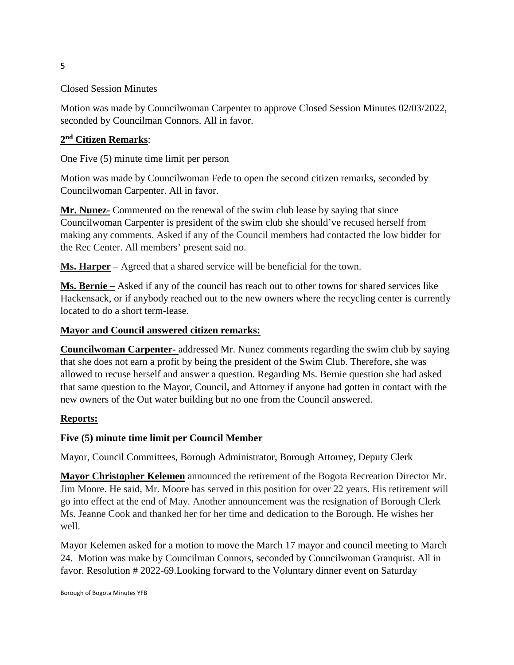## Closed Session Minutes

Motion was made by Councilwoman Carpenter to approve Closed Session Minutes 02/03/2022, seconded by Councilman Connors. All in favor.

## **2nd Citizen Remarks**:

One Five (5) minute time limit per person

Motion was made by Councilwoman Fede to open the second citizen remarks, seconded by Councilwoman Carpenter. All in favor.

**Mr. Nunez-** Commented on the renewal of the swim club lease by saying that since Councilwoman Carpenter is president of the swim club she should've recused herself from making any comments. Asked if any of the Council members had contacted the low bidder for the Rec Center. All members' present said no.

**Ms. Harper** – Agreed that a shared service will be beneficial for the town.

**Ms. Bernie –** Asked if any of the council has reach out to other towns for shared services like Hackensack, or if anybody reached out to the new owners where the recycling center is currently located to do a short term-lease.

#### **Mayor and Council answered citizen remarks:**

**Councilwoman Carpenter-** addressed Mr. Nunez comments regarding the swim club by saying that she does not earn a profit by being the president of the Swim Club. Therefore, she was allowed to recuse herself and answer a question. Regarding Ms. Bernie question she had asked that same question to the Mayor, Council, and Attorney if anyone had gotten in contact with the new owners of the Out water building but no one from the Council answered.

#### **Reports:**

#### **Five (5) minute time limit per Council Member**

Mayor, Council Committees, Borough Administrator, Borough Attorney, Deputy Clerk

**Mayor Christopher Kelemen** announced the retirement of the Bogota Recreation Director Mr. Jim Moore. He said, Mr. Moore has served in this position for over 22 years. His retirement will go into effect at the end of May. Another announcement was the resignation of Borough Clerk Ms. Jeanne Cook and thanked her for her time and dedication to the Borough. He wishes her well.

Mayor Kelemen asked for a motion to move the March 17 mayor and council meeting to March 24. Motion was make by Councilman Connors, seconded by Councilwoman Granquist. All in favor. Resolution # 2022-69.Looking forward to the Voluntary dinner event on Saturday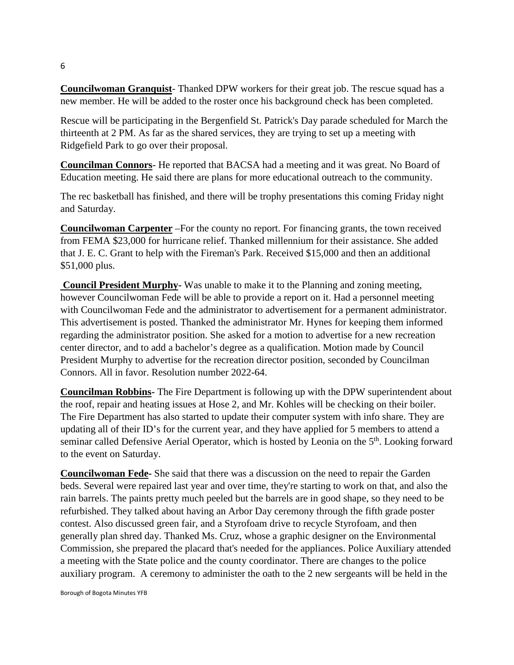**Councilwoman Granquist**- Thanked DPW workers for their great job. The rescue squad has a new member. He will be added to the roster once his background check has been completed.

Rescue will be participating in the Bergenfield St. Patrick's Day parade scheduled for March the thirteenth at 2 PM. As far as the shared services, they are trying to set up a meeting with Ridgefield Park to go over their proposal.

**Councilman Connors**- He reported that BACSA had a meeting and it was great. No Board of Education meeting. He said there are plans for more educational outreach to the community.

The rec basketball has finished, and there will be trophy presentations this coming Friday night and Saturday.

**Councilwoman Carpenter** –For the county no report. For financing grants, the town received from FEMA \$23,000 for hurricane relief. Thanked millennium for their assistance. She added that J. E. C. Grant to help with the Fireman's Park. Received \$15,000 and then an additional \$51,000 plus.

**Council President Murphy-** Was unable to make it to the Planning and zoning meeting, however Councilwoman Fede will be able to provide a report on it. Had a personnel meeting with Councilwoman Fede and the administrator to advertisement for a permanent administrator. This advertisement is posted. Thanked the administrator Mr. Hynes for keeping them informed regarding the administrator position. She asked for a motion to advertise for a new recreation center director, and to add a bachelor's degree as a qualification. Motion made by Council President Murphy to advertise for the recreation director position, seconded by Councilman Connors. All in favor. Resolution number 2022-64.

**Councilman Robbins-** The Fire Department is following up with the DPW superintendent about the roof, repair and heating issues at Hose 2, and Mr. Kohles will be checking on their boiler. The Fire Department has also started to update their computer system with info share. They are updating all of their ID's for the current year, and they have applied for 5 members to attend a seminar called Defensive Aerial Operator, which is hosted by Leonia on the 5<sup>th</sup>. Looking forward to the event on Saturday.

**Councilwoman Fede-** She said that there was a discussion on the need to repair the Garden beds. Several were repaired last year and over time, they're starting to work on that, and also the rain barrels. The paints pretty much peeled but the barrels are in good shape, so they need to be refurbished. They talked about having an Arbor Day ceremony through the fifth grade poster contest. Also discussed green fair, and a Styrofoam drive to recycle Styrofoam, and then generally plan shred day. Thanked Ms. Cruz, whose a graphic designer on the Environmental Commission, she prepared the placard that's needed for the appliances. Police Auxiliary attended a meeting with the State police and the county coordinator. There are changes to the police auxiliary program. A ceremony to administer the oath to the 2 new sergeants will be held in the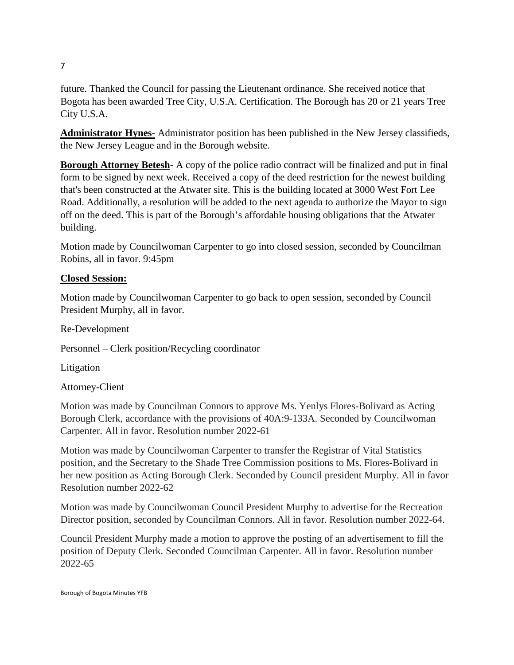future. Thanked the Council for passing the Lieutenant ordinance. She received notice that Bogota has been awarded Tree City, U.S.A. Certification. The Borough has 20 or 21 years Tree City U.S.A.

**Administrator Hynes-** Administrator position has been published in the New Jersey classifieds, the New Jersey League and in the Borough website.

**Borough Attorney Betesh-** A copy of the police radio contract will be finalized and put in final form to be signed by next week. Received a copy of the deed restriction for the newest building that's been constructed at the Atwater site. This is the building located at 3000 West Fort Lee Road. Additionally, a resolution will be added to the next agenda to authorize the Mayor to sign off on the deed. This is part of the Borough's affordable housing obligations that the Atwater building.

Motion made by Councilwoman Carpenter to go into closed session, seconded by Councilman Robins, all in favor. 9:45pm

## **Closed Session:**

Motion made by Councilwoman Carpenter to go back to open session, seconded by Council President Murphy, all in favor.

Re-Development

Personnel – Clerk position/Recycling coordinator

Litigation

Attorney-Client

Motion was made by Councilman Connors to approve Ms. Yenlys Flores-Bolivard as Acting Borough Clerk, accordance with the provisions of 40A:9-133A. Seconded by Councilwoman Carpenter. All in favor. Resolution number 2022-61

Motion was made by Councilwoman Carpenter to transfer the Registrar of Vital Statistics position, and the Secretary to the Shade Tree Commission positions to Ms. Flores-Bolivard in her new position as Acting Borough Clerk. Seconded by Council president Murphy. All in favor Resolution number 2022-62

Motion was made by Councilwoman Council President Murphy to advertise for the Recreation Director position, seconded by Councilman Connors. All in favor. Resolution number 2022-64.

Council President Murphy made a motion to approve the posting of an advertisement to fill the position of Deputy Clerk. Seconded Councilman Carpenter. All in favor. Resolution number 2022-65